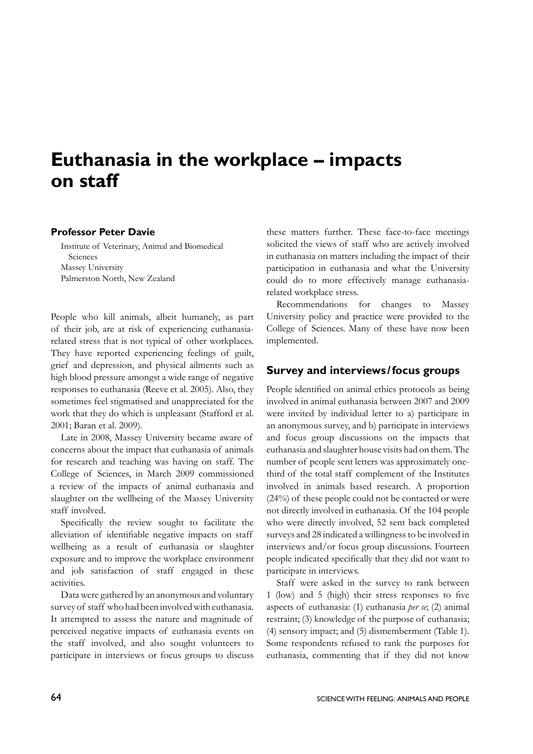# **Euthanasia in the workplace – impacts on staff**

#### **Professor Peter Davie**

Institute of Veterinary, Animal and Biomedical Sciences Massey University Palmerston North, New Zealand

People who kill animals, albeit humanely, as part of their job, are at risk of experiencing euthanasiarelated stress that is not typical of other workplaces. They have reported experiencing feelings of guilt, grief and depression, and physical ailments such as high blood pressure amongst a wide range of negative responses to euthanasia (Reeve et al. 2005). Also, they sometimes feel stigmatised and unappreciated for the work that they do which is unpleasant (Stafford et al. 2001; Baran et al. 2009).

Late in 2008, Massey University became aware of concerns about the impact that euthanasia of animals for research and teaching was having on staff. The College of Sciences, in March 2009 commissioned a review of the impacts of animal euthanasia and slaughter on the wellbeing of the Massey University staff involved.

 Specifically the review sought to facilitate the alleviation of identifiable negative impacts on staff wellbeing as a result of euthanasia or slaughter exposure and to improve the workplace environment and job satisfaction of staff engaged in these activities.

Data were gathered by an anonymous and voluntary survey of staff who had been involved with euthanasia. It attempted to assess the nature and magnitude of perceived negative impacts of euthanasia events on the staff involved, and also sought volunteers to participate in interviews or focus groups to discuss

these matters further. These face-to-face meetings solicited the views of staff who are actively involved in euthanasia on matters including the impact of their participation in euthanasia and what the University could do to more effectively manage euthanasiarelated workplace stress.

Recommendations for changes to Massey University policy and practice were provided to the College of Sciences. Many of these have now been implemented.

## **Survey and interviews /focus groups**

People identified on animal ethics protocols as being involved in animal euthanasia between 2007 and 2009 were invited by individual letter to a) participate in an anonymous survey, and b) participate in interviews and focus group discussions on the impacts that euthanasia and slaughter house visits had on them. The number of people sent letters was approximately onethird of the total staff complement of the Institutes involved in animals based research. A proportion (24%) of these people could not be contacted or were not directly involved in euthanasia. Of the 104 people who were directly involved, 52 sent back completed surveys and 28 indicated a willingness to be involved in interviews and/or focus group discussions. Fourteen people indicated specifically that they did not want to participate in interviews.

Staff were asked in the survey to rank between 1 (low) and 5 (high) their stress responses to five aspects of euthanasia: (1) euthanasia *per se*; (2) animal restraint; (3) knowledge of the purpose of euthanasia; (4) sensory impact; and (5) dismemberment (Table 1). Some respondents refused to rank the purposes for euthanasia, commenting that if they did not know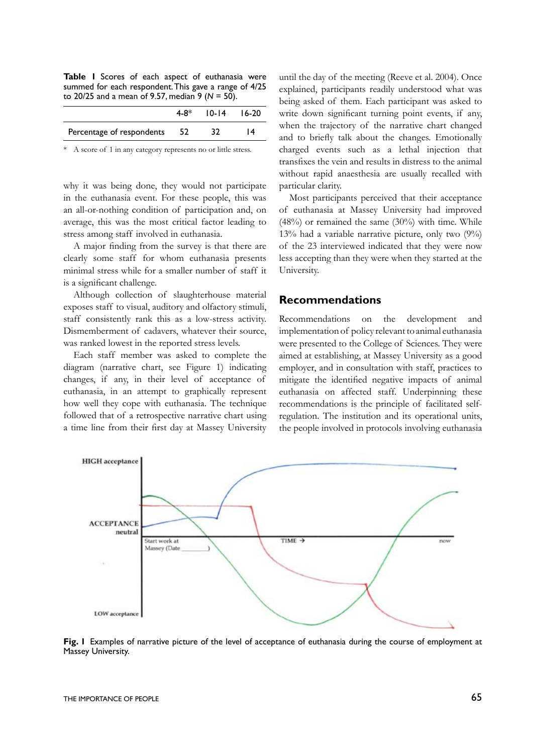**Table 1** Scores of each aspect of euthanasia were summed for each respondent. This gave a range of 4/25 to 20/25 and a mean of 9.57, median 9 (*N* = 50).

|                              | $4-8*$ 10-14 16-20 |    |
|------------------------------|--------------------|----|
| Percentage of respondents 52 | -32                | 14 |

A score of 1 in any category represents no or little stress.

why it was being done, they would not participate in the euthanasia event. For these people, this was an all-or-nothing condition of participation and, on average, this was the most critical factor leading to stress among staff involved in euthanasia.

 A major finding from the survey is that there are clearly some staff for whom euthanasia presents minimal stress while for a smaller number of staff it is a significant challenge.

Although collection of slaughterhouse material exposes staff to visual, auditory and olfactory stimuli, staff consistently rank this as a low-stress activity. Dismemberment of cadavers, whatever their source, was ranked lowest in the reported stress levels.

Each staff member was asked to complete the diagram (narrative chart, see Figure 1) indicating changes, if any, in their level of acceptance of euthanasia, in an attempt to graphically represent how well they cope with euthanasia. The technique followed that of a retrospective narrative chart using a time line from their first day at Massey University until the day of the meeting (Reeve et al. 2004). Once explained, participants readily understood what was being asked of them. Each participant was asked to write down significant turning point events, if any, when the trajectory of the narrative chart changed and to briefly talk about the changes. Emotionally charged events such as a lethal injection that transfixes the vein and results in distress to the animal without rapid anaesthesia are usually recalled with particular clarity.

Most participants perceived that their acceptance of euthanasia at Massey University had improved (48%) or remained the same (30%) with time. While 13% had a variable narrative picture, only two (9%) of the 23 interviewed indicated that they were now less accepting than they were when they started at the University.

#### **Recommendations**

Recommendations on the development and implementation of policy relevant to animal euthanasia were presented to the College of Sciences. They were aimed at establishing, at Massey University as a good employer, and in consultation with staff, practices to mitigate the identified negative impacts of animal euthanasia on affected staff. Underpinning these recommendations is the principle of facilitated selfregulation. The institution and its operational units, the people involved in protocols involving euthanasia



**Fig. 1** Examples of narrative picture of the level of acceptance of euthanasia during the course of employment at Massey University.